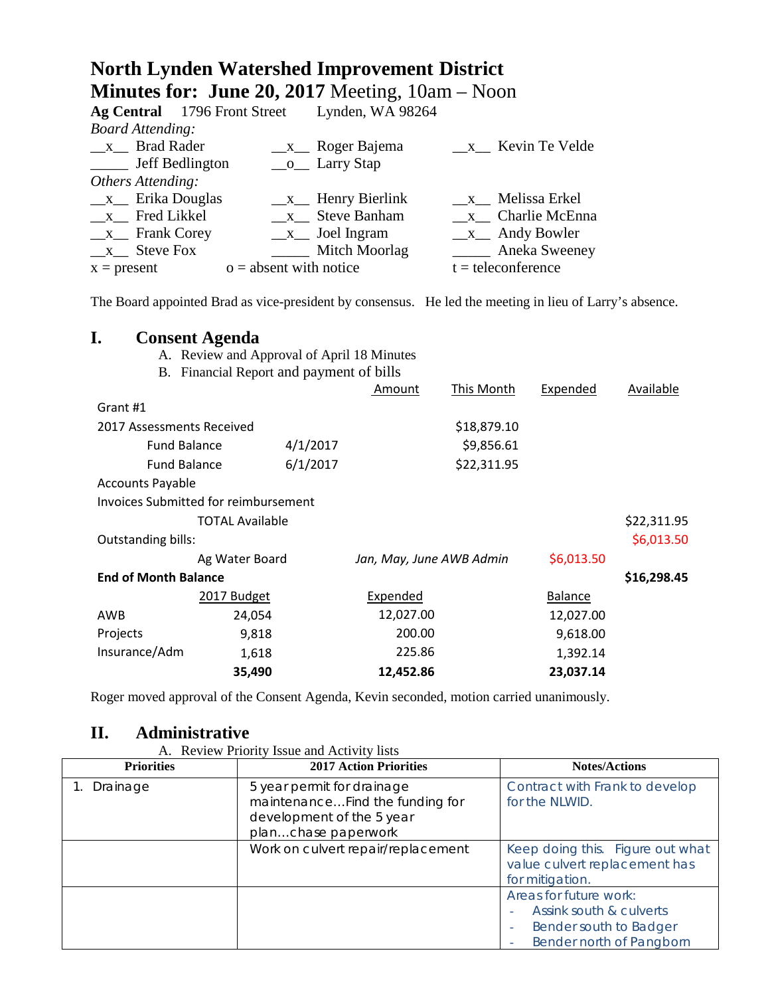# **North Lynden Watershed Improvement District Minutes for: June 20, 2017** Meeting, 10am – Noon

|                              | Ag Central 1796 Front Street | Lynden, WA 98264   |                                    |
|------------------------------|------------------------------|--------------------|------------------------------------|
| <b>Board Attending:</b>      |                              |                    |                                    |
| x Brad Rader                 |                              | $x$ Roger Bajema   | x Kevin Te Velde                   |
| ______ Jeff Bedlington       |                              | $\_\_o$ Larry Stap |                                    |
| Others Attending:            |                              |                    |                                    |
| $x$ Erika Douglas            |                              | $x$ Henry Bierlink | x Melissa Erkel                    |
| _x_ Fred Likkel              |                              | $x$ Steve Banham   | $x$ Charlie McEnna                 |
| $x$ <sub>_</sub> Frank Corey |                              | $x$ Joel Ingram    | $\frac{\mathbf{x}}{2}$ Andy Bowler |
| $x$ Steve Fox                |                              | Mitch Moorlag      | <b>Example 2</b> Aneka Sweeney     |
| $x = present$                | $o =$ absent with notice     |                    | $t =$ teleconference               |

The Board appointed Brad as vice-president by consensus. He led the meeting in lieu of Larry's absence.

### **I. Consent Agenda**

|                                             | A. Review and Approval of April 18 Minutes |          |                          |             |                |             |
|---------------------------------------------|--------------------------------------------|----------|--------------------------|-------------|----------------|-------------|
| Financial Report and payment of bills<br>Β. |                                            |          |                          |             |                |             |
|                                             |                                            |          | Amount                   | This Month  | Expended       | Available   |
| Grant #1                                    |                                            |          |                          |             |                |             |
| 2017 Assessments Received                   |                                            |          |                          | \$18,879.10 |                |             |
|                                             | <b>Fund Balance</b>                        | 4/1/2017 |                          | \$9,856.61  |                |             |
|                                             | <b>Fund Balance</b>                        | 6/1/2017 |                          | \$22,311.95 |                |             |
| <b>Accounts Payable</b>                     |                                            |          |                          |             |                |             |
|                                             | Invoices Submitted for reimbursement       |          |                          |             |                |             |
|                                             | <b>TOTAL Available</b>                     |          |                          |             |                | \$22,311.95 |
| Outstanding bills:                          |                                            |          |                          |             |                | \$6,013.50  |
|                                             | Ag Water Board                             |          | Jan, May, June AWB Admin |             | \$6,013.50     |             |
| <b>End of Month Balance</b>                 |                                            |          |                          |             |                | \$16,298.45 |
|                                             | 2017 Budget                                |          | Expended                 |             | <b>Balance</b> |             |
| AWB                                         | 24,054                                     |          | 12,027.00                |             | 12,027.00      |             |
| Projects                                    | 9,818                                      |          | 200.00                   |             | 9,618.00       |             |
| Insurance/Adm                               | 1,618                                      |          | 225.86                   |             | 1,392.14       |             |
|                                             | 35,490                                     |          | 12,452.86                |             | 23,037.14      |             |
|                                             |                                            |          |                          |             |                |             |

Roger moved approval of the Consent Agenda, Kevin seconded, motion carried unanimously.

### **II. Administrative**

A. Review Priority Issue and Activity lists

| <b>Priorities</b> | <b>2017 Action Priorities</b>                                                              | <b>Notes/Actions</b>                                                                                              |
|-------------------|--------------------------------------------------------------------------------------------|-------------------------------------------------------------------------------------------------------------------|
| Drainage          | 5 year permit for drainage<br>maintenanceFind the funding for<br>development of the 5 year | Contract with Frank to develop<br>for the NLWID.                                                                  |
|                   | planchase paperwork                                                                        |                                                                                                                   |
|                   | Work on culvert repair/replacement                                                         | Keep doing this. Figure out what<br>value culvert replacement has<br>for mitigation.                              |
|                   |                                                                                            | Areas for future work:<br>Assink south & culverts<br>Bender south to Badger<br>۰<br>Bender north of Pangborn<br>۰ |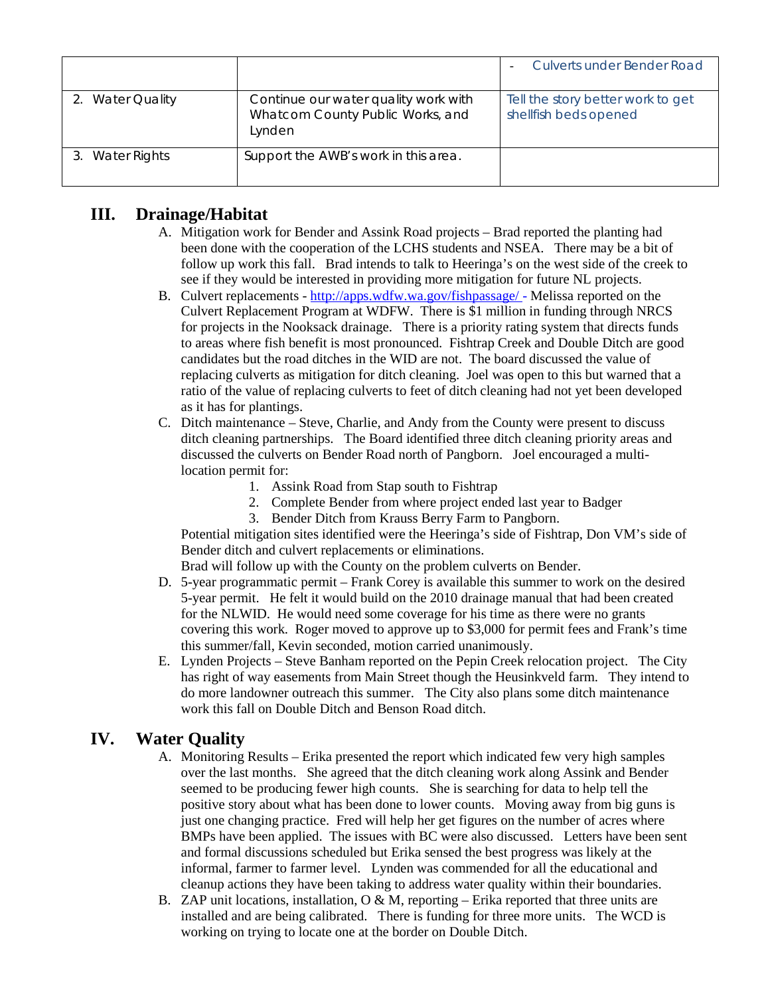|                  |                                                                                    | Culverts under Bender Road                                 |
|------------------|------------------------------------------------------------------------------------|------------------------------------------------------------|
| 2. Water Quality | Continue our water quality work with<br>Whatcom County Public Works, and<br>Lynden | Tell the story better work to get<br>shellfish beds opened |
| 3. Water Rights  | Support the AWB's work in this area.                                               |                                                            |

## **III. Drainage/Habitat**

- A. Mitigation work for Bender and Assink Road projects Brad reported the planting had been done with the cooperation of the LCHS students and NSEA. There may be a bit of follow up work this fall. Brad intends to talk to Heeringa's on the west side of the creek to see if they would be interested in providing more mitigation for future NL projects.
- B. Culvert replacements <http://apps.wdfw.wa.gov/fishpassage/> Melissa reported on the Culvert Replacement Program at WDFW. There is \$1 million in funding through NRCS for projects in the Nooksack drainage. There is a priority rating system that directs funds to areas where fish benefit is most pronounced. Fishtrap Creek and Double Ditch are good candidates but the road ditches in the WID are not. The board discussed the value of replacing culverts as mitigation for ditch cleaning. Joel was open to this but warned that a ratio of the value of replacing culverts to feet of ditch cleaning had not yet been developed as it has for plantings.
- C. Ditch maintenance Steve, Charlie, and Andy from the County were present to discuss ditch cleaning partnerships. The Board identified three ditch cleaning priority areas and discussed the culverts on Bender Road north of Pangborn. Joel encouraged a multilocation permit for:
	- 1. Assink Road from Stap south to Fishtrap
	- 2. Complete Bender from where project ended last year to Badger
	- 3. Bender Ditch from Krauss Berry Farm to Pangborn.

Potential mitigation sites identified were the Heeringa's side of Fishtrap, Don VM's side of Bender ditch and culvert replacements or eliminations.

Brad will follow up with the County on the problem culverts on Bender.

- D. 5-year programmatic permit Frank Corey is available this summer to work on the desired 5-year permit. He felt it would build on the 2010 drainage manual that had been created for the NLWID. He would need some coverage for his time as there were no grants covering this work. Roger moved to approve up to \$3,000 for permit fees and Frank's time this summer/fall, Kevin seconded, motion carried unanimously.
- E. Lynden Projects Steve Banham reported on the Pepin Creek relocation project. The City has right of way easements from Main Street though the Heusinkveld farm. They intend to do more landowner outreach this summer. The City also plans some ditch maintenance work this fall on Double Ditch and Benson Road ditch.

# **IV. Water Quality**

- A. Monitoring Results Erika presented the report which indicated few very high samples over the last months. She agreed that the ditch cleaning work along Assink and Bender seemed to be producing fewer high counts. She is searching for data to help tell the positive story about what has been done to lower counts. Moving away from big guns is just one changing practice. Fred will help her get figures on the number of acres where BMPs have been applied. The issues with BC were also discussed. Letters have been sent and formal discussions scheduled but Erika sensed the best progress was likely at the informal, farmer to farmer level. Lynden was commended for all the educational and cleanup actions they have been taking to address water quality within their boundaries.
- B. ZAP unit locations, installation,  $O & M$ , reporting Erika reported that three units are installed and are being calibrated. There is funding for three more units. The WCD is working on trying to locate one at the border on Double Ditch.